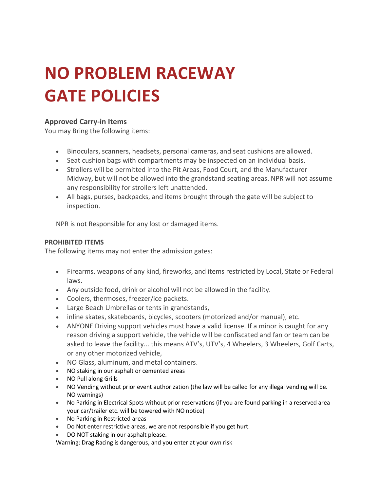# **NO PROBLEM RACEWAY GATE POLICIES**

#### **Approved Carry-in Items**

You may Bring the following items:

- Binoculars, scanners, headsets, personal cameras, and seat cushions are allowed.
- Seat cushion bags with compartments may be inspected on an individual basis.
- Strollers will be permitted into the Pit Areas, Food Court, and the Manufacturer Midway, but will not be allowed into the grandstand seating areas. NPR will not assume any responsibility for strollers left unattended.
- All bags, purses, backpacks, and items brought through the gate will be subject to inspection.

NPR is not Responsible for any lost or damaged items.

#### **PROHIBITED ITEMS**

The following items may not enter the admission gates:

- Firearms, weapons of any kind, fireworks, and items restricted by Local, State or Federal laws.
- Any outside food, drink or alcohol will not be allowed in the facility.
- Coolers, thermoses, freezer/ice packets.
- Large Beach Umbrellas or tents in grandstands,
- inline skates, skateboards, bicycles, scooters (motorized and/or manual), etc.
- ANYONE Driving support vehicles must have a valid license. If a minor is caught for any reason driving a support vehicle, the vehicle will be confiscated and fan or team can be asked to leave the facility... this means ATV's, UTV's, 4 Wheelers, 3 Wheelers, Golf Carts, or any other motorized vehicle,
- NO Glass, aluminum, and metal containers.
- NO staking in our asphalt or cemented areas
- NO Pull along Grills
- NO Vending without prior event authorization (the law will be called for any illegal vending will be. NO warnings)
- No Parking in Electrical Spots without prior reservations (if you are found parking in a reserved area your car/trailer etc. will be towered with NO notice)
- No Parking in Restricted areas
- Do Not enter restrictive areas, we are not responsible if you get hurt.
- DO NOT staking in our asphalt please.

Warning: Drag Racing is dangerous, and you enter at your own risk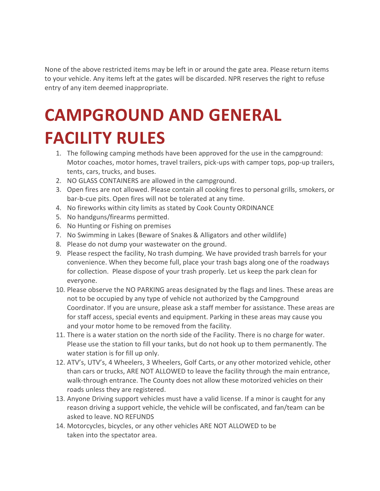None of the above restricted items may be left in or around the gate area. Please return items to your vehicle. Any items left at the gates will be discarded. NPR reserves the right to refuse entry of any item deemed inappropriate.

# **CAMPGROUND AND GENERAL FACILITY RULES**

- 1. The following camping methods have been approved for the use in the campground: Motor coaches, motor homes, travel trailers, pick-ups with camper tops, pop-up trailers, tents, cars, trucks, and buses.
- 2. NO GLASS CONTAINERS are allowed in the campground.
- 3. Open fires are not allowed. Please contain all cooking fires to personal grills, smokers, or bar-b-cue pits. Open fires will not be tolerated at any time.
- 4. No fireworks within city limits as stated by Cook County ORDINANCE
- 5. No handguns/firearms permitted.
- 6. No Hunting or Fishing on premises
- 7. No Swimming in Lakes (Beware of Snakes & Alligators and other wildlife)
- 8. Please do not dump your wastewater on the ground.
- 9. Please respect the facility, No trash dumping. We have provided trash barrels for your convenience. When they become full, place your trash bags along one of the roadways for collection. Please dispose of your trash properly. Let us keep the park clean for everyone.
- 10. Please observe the NO PARKING areas designated by the flags and lines. These areas are not to be occupied by any type of vehicle not authorized by the Campground Coordinator. If you are unsure, please ask a staff member for assistance. These areas are for staff access, special events and equipment. Parking in these areas may cause you and your motor home to be removed from the facility.
- 11. There is a water station on the north side of the Facility. There is no charge for water. Please use the station to fill your tanks, but do not hook up to them permanently. The water station is for fill up only.
- 12. ATV's, UTV's, 4 Wheelers, 3 Wheelers, Golf Carts, or any other motorized vehicle, other than cars or trucks, ARE NOT ALLOWED to leave the facility through the main entrance, walk-through entrance. The County does not allow these motorized vehicles on their roads unless they are registered.
- 13. Anyone Driving support vehicles must have a valid license. If a minor is caught for any reason driving a support vehicle, the vehicle will be confiscated, and fan/team can be asked to leave. NO REFUNDS
- 14. Motorcycles, bicycles, or any other vehicles ARE NOT ALLOWED to be taken into the spectator area.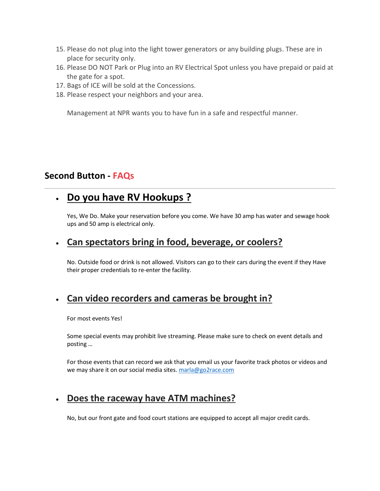- 15. Please do not plug into the light tower generators or any building plugs. These are in place for security only.
- 16. Please DO NOT Park or Plug into an RV Electrical Spot unless you have prepaid or paid at the gate for a spot.
- 17. Bags of ICE will be sold at the Concessions.
- 18. Please respect your neighbors and your area.

Management at NPR wants you to have fun in a safe and respectful manner.

#### **Second Button - FAQs**

# • **Do you have RV Hookups ?**

Yes, We Do. Make your reservation before you come. We have 30 amp has water and sewage hook ups and 50 amp is electrical only.

#### • **[Can spectators bring in food, beverage, or coolers?](http://houstonraceway.com/fan-guide/visiting-the-raceway/faqs/#collapse1)**

No. Outside food or drink is not allowed. Visitors can go to their cars during the event if they Have their proper credentials to re-enter the facility.

## • **[Can video recorders and cameras be brought in?](http://houstonraceway.com/fan-guide/visiting-the-raceway/faqs/#collapse2)**

For most events Yes!

Some special events may prohibit live streaming. Please make sure to check on event details and posting …

For those events that can record we ask that you email us your favorite track photos or videos and we may share it on our social media sites. [marla@go2race.com](mailto:marla@go2race.com)

## • **[Does the raceway have ATM machines?](http://houstonraceway.com/fan-guide/visiting-the-raceway/faqs/#collapse3)**

No, but our front gate and food court stations are equipped to accept all major credit cards.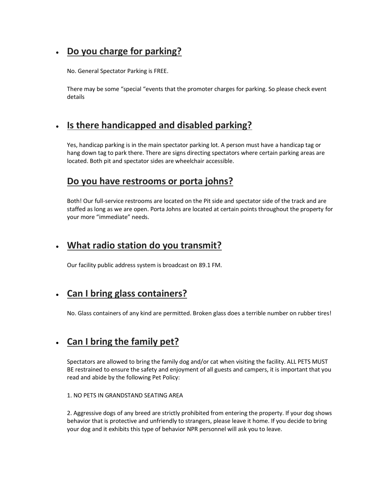# • **[Do you charge for parking?](http://houstonraceway.com/fan-guide/visiting-the-raceway/faqs/#collapse4)**

No. General Spectator Parking is FREE.

There may be some "special "events that the promoter charges for parking. So please check event details

#### • **[Is there handicapped and disabled parking?](http://houstonraceway.com/fan-guide/visiting-the-raceway/faqs/#collapse5)**

Yes, handicap parking is in the main spectator parking lot. A person must have a handicap tag or hang down tag to park there. There are signs directing spectators where certain parking areas are located. Both pit and spectator sides are wheelchair accessible.

#### **[Do you have restrooms or porta johns?](http://houstonraceway.com/fan-guide/visiting-the-raceway/faqs/#collapse6)**

Both! Our full-service restrooms are located on the Pit side and spectator side of the track and are staffed as long as we are open. Porta Johns are located at certain points throughout the property for your more "immediate" needs.

#### • **[What radio station do you transmit?](http://houstonraceway.com/fan-guide/visiting-the-raceway/faqs/#collapse7)**

Our facility public address system is broadcast on 89.1 FM.

## • **[Can I bring glass containers?](http://houstonraceway.com/fan-guide/visiting-the-raceway/faqs/#collapse8)**

No. Glass containers of any kind are permitted. Broken glass does a terrible number on rubber tires!

#### • **[Can I bring the family pet?](http://houstonraceway.com/fan-guide/visiting-the-raceway/faqs/#collapse9)**

Spectators are allowed to bring the family dog and/or cat when visiting the facility. ALL PETS MUST BE restrained to ensure the safety and enjoyment of all guests and campers, it is important that you read and abide by the following Pet Policy:

#### 1. NO PETS IN GRANDSTAND SEATING AREA

2. Aggressive dogs of any breed are strictly prohibited from entering the property. If your dog shows behavior that is protective and unfriendly to strangers, please leave it home. If you decide to bring your dog and it exhibits this type of behavior NPR personnel will ask you to leave.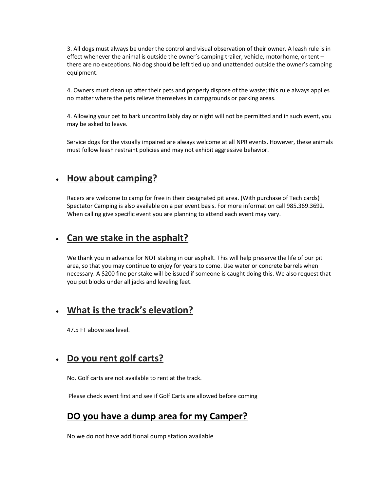3. All dogs must always be under the control and visual observation of their owner. A leash rule is in effect whenever the animal is outside the owner's camping trailer, vehicle, motorhome, or tent – there are no exceptions. No dog should be left tied up and unattended outside the owner's camping equipment.

4. Owners must clean up after their pets and properly dispose of the waste; this rule always applies no matter where the pets relieve themselves in campgrounds or parking areas.

4. Allowing your pet to bark uncontrollably day or night will not be permitted and in such event, you may be asked to leave.

Service dogs for the visually impaired are always welcome at all NPR events. However, these animals must follow leash restraint policies and may not exhibit aggressive behavior.

#### • **[How about camping?](http://houstonraceway.com/fan-guide/visiting-the-raceway/faqs/#collapse10)**

Racers are welcome to camp for free in their designated pit area. (With purchase of Tech cards) Spectator Camping is also available on a per event basis. For more information call 985.369.3692. When calling give specific event you are planning to attend each event may vary.

#### • **[Can we stake in the asphalt?](http://houstonraceway.com/fan-guide/visiting-the-raceway/faqs/#collapse11)**

We thank you in advance for NOT staking in our asphalt. This will help preserve the life of our pit area, so that you may continue to enjoy for years to come. Use water or concrete barrels when necessary. A \$200 fine per stake will be issued if someone is caught doing this. We also request that you put blocks under all jacks and leveling feet.

#### • **[What is the track's elevation?](http://houstonraceway.com/fan-guide/visiting-the-raceway/faqs/#collapse12)**

47.5 FT above sea level.

#### • **[Do you rent golf carts?](http://houstonraceway.com/fan-guide/visiting-the-raceway/faqs/#collapse13)**

No. Golf carts are not available to rent at the track.

Please check event first and see if Golf Carts are allowed before coming

#### **DO you have a dump area for my Camper?**

No we do not have additional dump station available